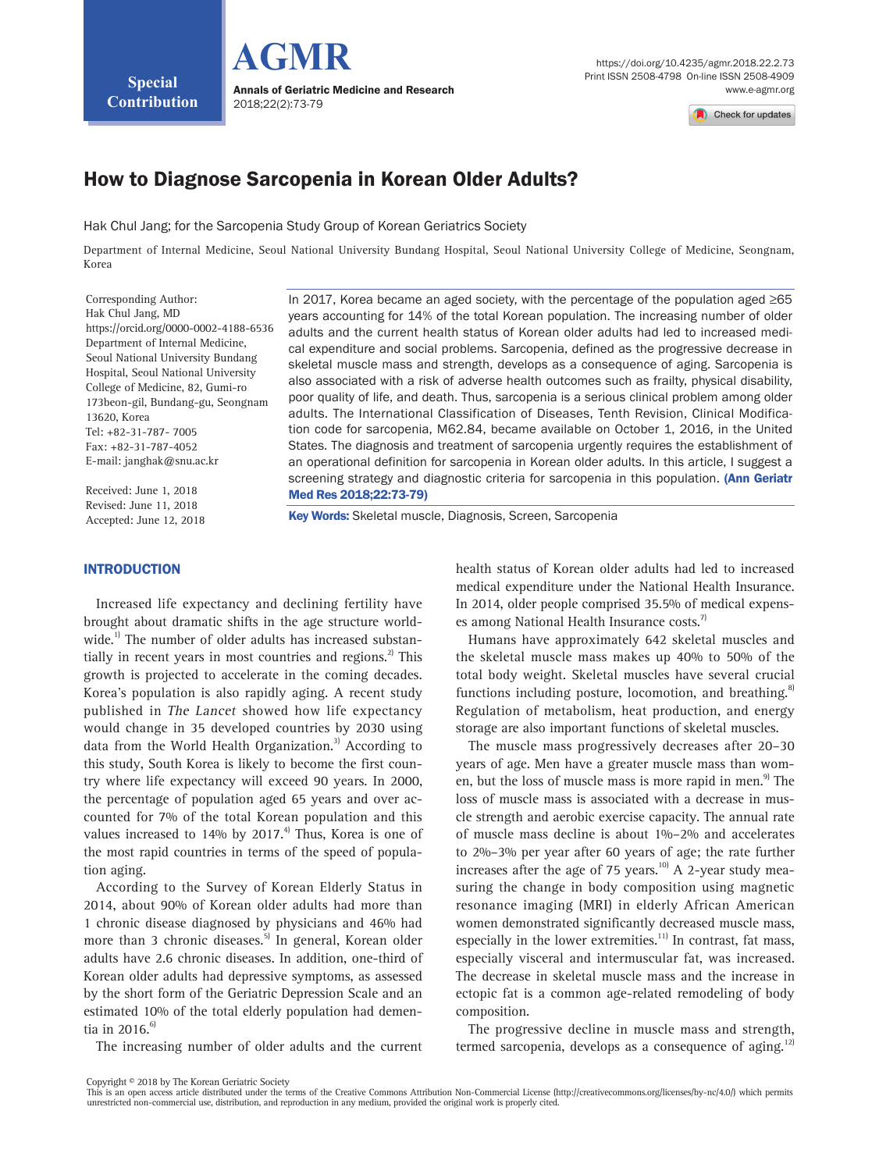Check for updates

# How to Diagnose Sarcopenia in Korean Older Adults?

Hak Chul Jang; for the Sarcopenia Study Group of Korean Geriatrics Society

Department of Internal Medicine, Seoul National University Bundang Hospital, Seoul National University College of Medicine, Seongnam, Korea

Corresponding Author: Hak Chul Jang, MD https://orcid.org/0000-0002-4188-6536 Department of Internal Medicine, Seoul National University Bundang Hospital, Seoul National University College of Medicine, 82, Gumi-ro 173beon-gil, Bundang-gu, Seongnam 13620, Korea Tel: +82-31-787- 7005 Fax: +82-31-787-4052 E-mail: [janghak@snu.ac.kr](mailto:janghak@snu.ac.kr)

Received: June 1, 2018 Revised: June 11, 2018 Accepted: June 12, 2018 In 2017, Korea became an aged society, with the percentage of the population aged ≥65 years accounting for 14% of the total Korean population. The increasing number of older adults and the current health status of Korean older adults had led to increased medical expenditure and social problems. Sarcopenia, defined as the progressive decrease in skeletal muscle mass and strength, develops as a consequence of aging. Sarcopenia is also associated with a risk of adverse health outcomes such as frailty, physical disability, poor quality of life, and death. Thus, sarcopenia is a serious clinical problem among older adults. The International Classification of Diseases, Tenth Revision, Clinical Modification code for sarcopenia, M62.84, became available on October 1, 2016, in the United States. The diagnosis and treatment of sarcopenia urgently requires the establishment of an operational definition for sarcopenia in Korean older adults. In this article, I suggest a screening strategy and diagnostic criteria for sarcopenia in this population. (Ann Geriatr Med Res 2018;22:73-79)

Key Words: Skeletal muscle, Diagnosis, Screen, Sarcopenia

#### INTRODUCTION

Increased life expectancy and declining fertility have brought about dramatic shifts in the age structure worldwide.<sup>1)</sup> The number of older adults has increased substantially in recent years in most countries and regions. $^{2}$  This growth is projected to accelerate in the coming decades. Korea's population is also rapidly aging. A recent study published in The Lancet showed how life expectancy would change in 35 developed countries by 2030 using data from the World Health Organization.<sup>3)</sup> According to this study, South Korea is likely to become the first country where life expectancy will exceed 90 years. In 2000, the percentage of population aged 65 years and over accounted for 7% of the total Korean population and this values increased to  $14\%$  by  $2017.<sup>4</sup>$  Thus, Korea is one of the most rapid countries in terms of the speed of population aging.

According to the Survey of Korean Elderly Status in 2014, about 90% of Korean older adults had more than 1 chronic disease diagnosed by physicians and 46% had more than 3 chronic diseases.<sup>5)</sup> In general, Korean older adults have 2.6 chronic diseases. In addition, one-third of Korean older adults had depressive symptoms, as assessed by the short form of the Geriatric Depression Scale and an estimated 10% of the total elderly population had dementia in 2016. $6$ 

The increasing number of older adults and the current

health status of Korean older adults had led to increased medical expenditure under the National Health Insurance. In 2014, older people comprised 35.5% of medical expenses among National Health Insurance costs.<sup>7)</sup>

Humans have approximately 642 skeletal muscles and the skeletal muscle mass makes up 40% to 50% of the total body weight. Skeletal muscles have several crucial functions including posture, locomotion, and breathing.<sup>8)</sup> Regulation of metabolism, heat production, and energy storage are also important functions of skeletal muscles.

The muscle mass progressively decreases after 20–30 years of age. Men have a greater muscle mass than women, but the loss of muscle mass is more rapid in men.<sup>9)</sup> The loss of muscle mass is associated with a decrease in muscle strength and aerobic exercise capacity. The annual rate of muscle mass decline is about 1%–2% and accelerates to 2%–3% per year after 60 years of age; the rate further increases after the age of 75 years.<sup>10</sup> A 2-year study measuring the change in body composition using magnetic resonance imaging (MRI) in elderly African American women demonstrated significantly decreased muscle mass, especially in the lower extremities. $11$ ] In contrast, fat mass, especially visceral and intermuscular fat, was increased. The decrease in skeletal muscle mass and the increase in ectopic fat is a common age-related remodeling of body composition.

The progressive decline in muscle mass and strength, termed sarcopenia, develops as a consequence of aging.<sup>12)</sup>

Copyright © 2018 by The Korean Geriatric Society

This is an open access article distributed under the terms of the Creative Commons Attribution Non-Commercial License (http://creativecommons.org/licenses/by-nc/4.0/) which permits unrestricted non-commercial use, distribution, and reproduction in any medium, provided the original work is properly cited.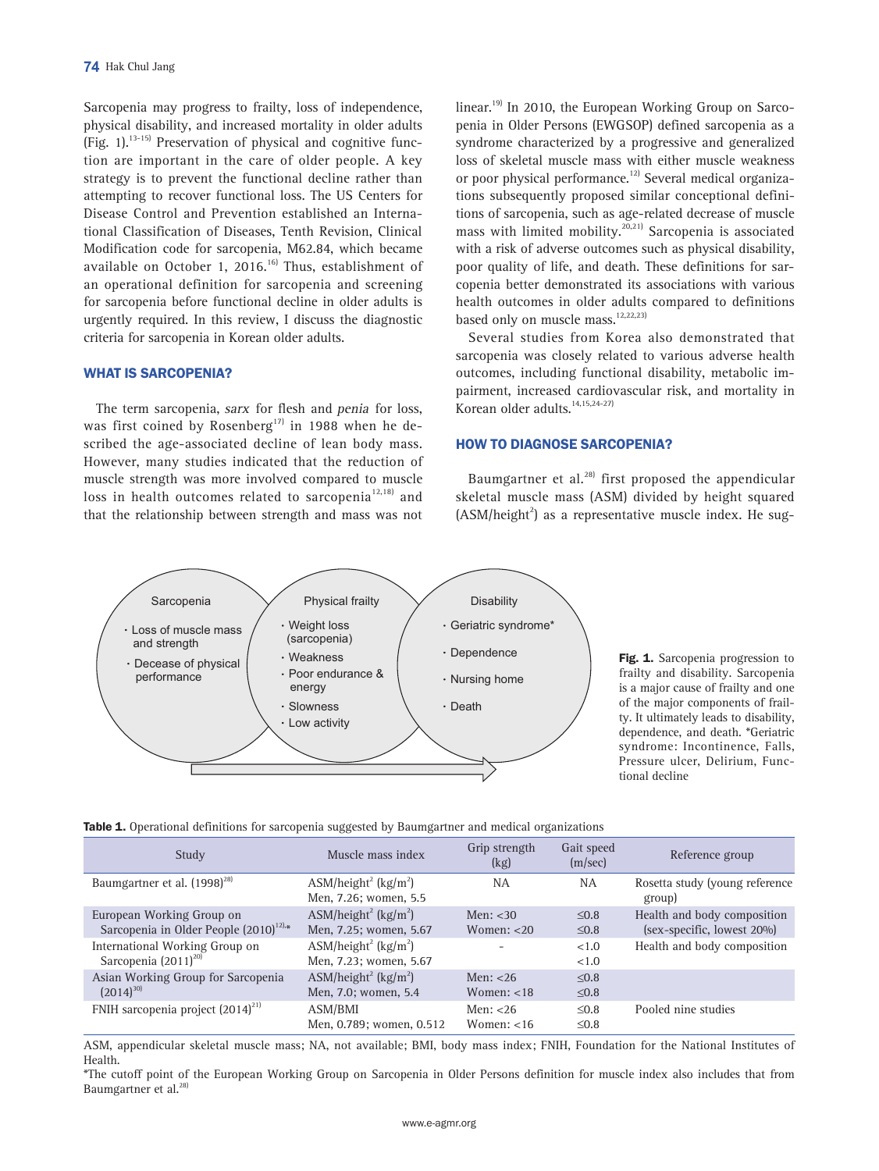Sarcopenia may progress to frailty, loss of independence, physical disability, and increased mortality in older adults  $(Fig. 1).$ <sup>13-15)</sup> Preservation of physical and cognitive function are important in the care of older people. A key strategy is to prevent the functional decline rather than attempting to recover functional loss. The US Centers for Disease Control and Prevention established an International Classification of Diseases, Tenth Revision, Clinical Modification code for sarcopenia, M62.84, which became available on October 1, 2016.<sup>16)</sup> Thus, establishment of an operational definition for sarcopenia and screening for sarcopenia before functional decline in older adults is urgently required. In this review, I discuss the diagnostic criteria for sarcopenia in Korean older adults.

# WHAT IS SARCOPENIA?

The term sarcopenia, sarx for flesh and penia for loss, was first coined by Rosenberg<sup>17)</sup> in 1988 when he described the age-associated decline of lean body mass. However, many studies indicated that the reduction of muscle strength was more involved compared to muscle loss in health outcomes related to sarcopenia<sup>12,18)</sup> and that the relationship between strength and mass was not linear.<sup>19)</sup> In 2010, the European Working Group on Sarcopenia in Older Persons (EWGSOP) defined sarcopenia as a syndrome characterized by a progressive and generalized loss of skeletal muscle mass with either muscle weakness or poor physical performance.<sup>12)</sup> Several medical organizations subsequently proposed similar conceptional definitions of sarcopenia, such as age-related decrease of muscle mass with limited mobility.<sup>20,21)</sup> Sarcopenia is associated with a risk of adverse outcomes such as physical disability, poor quality of life, and death. These definitions for sarcopenia better demonstrated its associations with various health outcomes in older adults compared to definitions based only on muscle mass.<sup>12,22,23)</sup>

Several studies from Korea also demonstrated that sarcopenia was closely related to various adverse health outcomes, including functional disability, metabolic impairment, increased cardiovascular risk, and mortality in Korean older adults.<sup>14,15,24-27)</sup>

#### HOW TO DIAGNOSE SARCOPENIA?

Baumgartner et al. $^{28)}$  first proposed the appendicular skeletal muscle mass (ASM) divided by height squared  $(ASM/height<sup>2</sup>)$  as a representative muscle index. He sug-



Fig. 1. Sarcopenia progression to frailty and disability. Sarcopenia is a major cause of frailty and one of the major components of frailty. It ultimately leads to disability, dependence, and death. \*Geriatric syndrome: Incontinence, Falls, Pressure ulcer, Delirium, Functional decline

| Table 1. Operational definitions for sarcopenia suggested by Baumgartner and medical organizations |  |  |  |  |  |  |  |
|----------------------------------------------------------------------------------------------------|--|--|--|--|--|--|--|
|----------------------------------------------------------------------------------------------------|--|--|--|--|--|--|--|

| Study                                      | Muscle mass index                                                     | Grip strength<br>(kg) | Gait speed<br>(m/sec) | Reference group                          |
|--------------------------------------------|-----------------------------------------------------------------------|-----------------------|-----------------------|------------------------------------------|
| Baumgartner et al. (1998) <sup>28)</sup>   | ASM/height <sup>2</sup> (kg/m <sup>2</sup> )<br>Men, 7.26; women, 5.5 | <b>NA</b>             | <b>NA</b>             | Rosetta study (young reference<br>group) |
| European Working Group on                  | ASM/height <sup>2</sup> (kg/m <sup>2</sup> )                          | Men: $<$ 30           | < 0.8                 | Health and body composition              |
| Sarcopenia in Older People $(2010)^{12.4}$ | Men, 7.25; women, 5.67                                                | Women: $<$ 20         | $\leq 0.8$            | (sex-specific, lowest 20%)               |
| International Working Group on             | ASM/height <sup>2</sup> (kg/m <sup>2</sup> )                          |                       | < 1.0                 | Health and body composition              |
| Sarcopenia (2011) <sup>20)</sup>           | Men, 7.23; women, 5.67                                                |                       | <1.0                  |                                          |
| Asian Working Group for Sarcopenia         | ASM/height <sup>2</sup> (kg/m <sup>2</sup> )                          | Men: $<$ 26           | $\leq 0.8$            |                                          |
| $(2014)^{30}$                              | Men, 7.0; women, 5.4                                                  | Women: $<$ 18         | $\leq 0.8$            |                                          |
| FNIH sarcopenia project $(2014)^{21}$      | ASM/BMI                                                               | Men: $<$ 26           | $\leq 0.8$            | Pooled nine studies                      |
|                                            | Men, 0.789; women, 0.512                                              | Women: $<$ 16         | $\leq 0.8$            |                                          |

ASM, appendicular skeletal muscle mass; NA, not available; BMI, body mass index; FNIH, Foundation for the National Institutes of Health.

\*The cutoff point of the European Working Group on Sarcopenia in Older Persons definition for muscle index also includes that from Baumgartner et al.<sup>28</sup>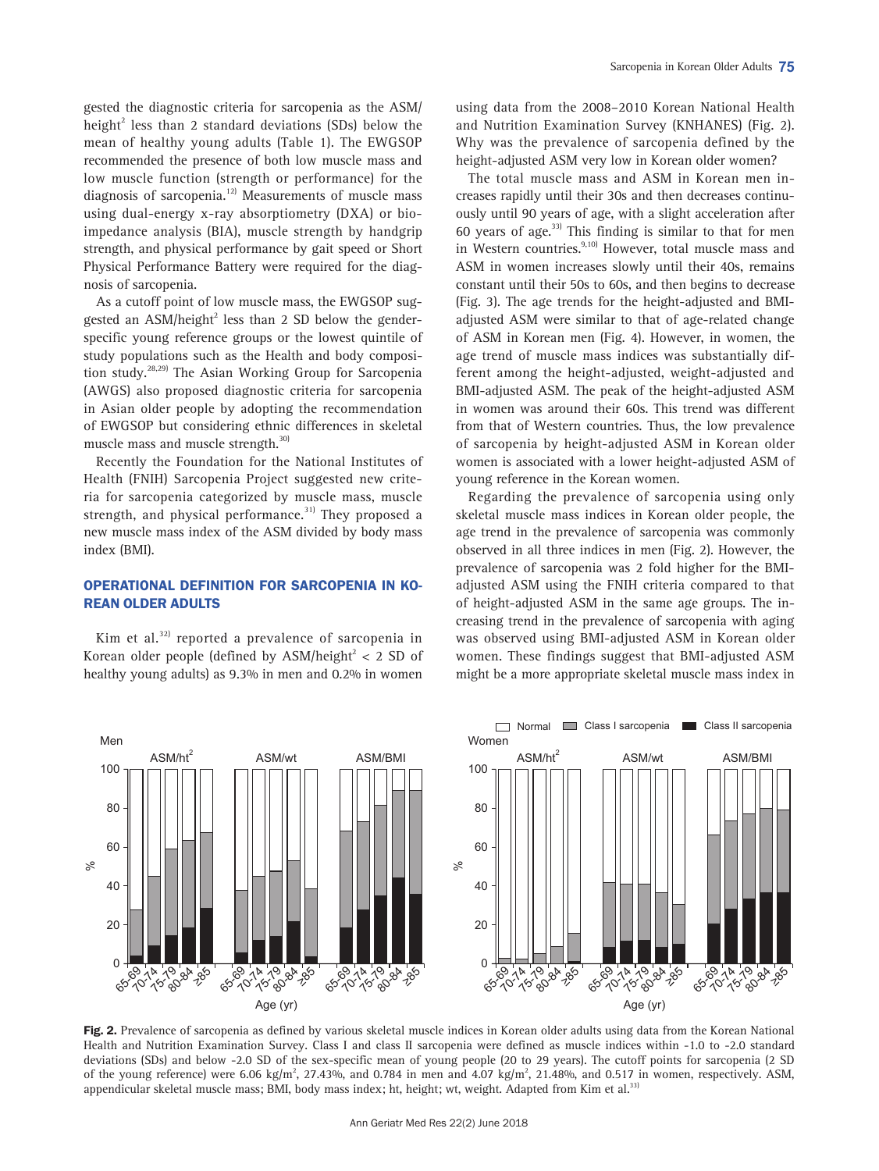gested the diagnostic criteria for sarcopenia as the ASM/ height $2$  less than 2 standard deviations (SDs) below the mean of healthy young adults (Table 1). The EWGSOP recommended the presence of both low muscle mass and low muscle function (strength or performance) for the diagnosis of sarcopenia.<sup>12)</sup> Measurements of muscle mass using dual-energy x-ray absorptiometry (DXA) or bioimpedance analysis (BIA), muscle strength by handgrip strength, and physical performance by gait speed or Short Physical Performance Battery were required for the diagnosis of sarcopenia.

As a cutoff point of low muscle mass, the EWGSOP suggested an ASM/height<sup>2</sup> less than 2 SD below the genderspecific young reference groups or the lowest quintile of study populations such as the Health and body composition study.28,29) The Asian Working Group for Sarcopenia (AWGS) also proposed diagnostic criteria for sarcopenia in Asian older people by adopting the recommendation of EWGSOP but considering ethnic differences in skeletal muscle mass and muscle strength.<sup>30)</sup>

Recently the Foundation for the National Institutes of Health (FNIH) Sarcopenia Project suggested new criteria for sarcopenia categorized by muscle mass, muscle strength, and physical performance.<sup>31)</sup> They proposed a new muscle mass index of the ASM divided by body mass index (BMI).

## OPERATIONAL DEFINITION FOR SARCOPENIA IN KO-REAN OLDER ADULTS

Kim et al. $^{32)}$  reported a prevalence of sarcopenia in Korean older people (defined by  ${\rm ASM/height}^2 < 2$  SD of healthy young adults) as 9.3% in men and 0.2% in women

using data from the 2008–2010 Korean National Health and Nutrition Examination Survey (KNHANES) (Fig. 2). Why was the prevalence of sarcopenia defined by the height-adjusted ASM very low in Korean older women?

The total muscle mass and ASM in Korean men increases rapidly until their 30s and then decreases continuously until 90 years of age, with a slight acceleration after 60 years of age.<sup>33)</sup> This finding is similar to that for men in Western countries.<sup>9,10)</sup> However, total muscle mass and ASM in women increases slowly until their 40s, remains constant until their 50s to 60s, and then begins to decrease (Fig. 3). The age trends for the height-adjusted and BMIadjusted ASM were similar to that of age-related change of ASM in Korean men (Fig. 4). However, in women, the age trend of muscle mass indices was substantially different among the height-adjusted, weight-adjusted and BMI-adjusted ASM. The peak of the height-adjusted ASM in women was around their 60s. This trend was different from that of Western countries. Thus, the low prevalence of sarcopenia by height-adjusted ASM in Korean older women is associated with a lower height-adjusted ASM of young reference in the Korean women.

Regarding the prevalence of sarcopenia using only skeletal muscle mass indices in Korean older people, the age trend in the prevalence of sarcopenia was commonly observed in all three indices in men (Fig. 2). However, the prevalence of sarcopenia was 2 fold higher for the BMIadjusted ASM using the FNIH criteria compared to that of height-adjusted ASM in the same age groups. The increasing trend in the prevalence of sarcopenia with aging was observed using BMI-adjusted ASM in Korean older women. These findings suggest that BMI-adjusted ASM might be a more appropriate skeletal muscle mass index in



Fig. 2. Prevalence of sarcopenia as defined by various skeletal muscle indices in Korean older adults using data from the Korean National Health and Nutrition Examination Survey. Class I and class II sarcopenia were defined as muscle indices within -1.0 to -2.0 standard deviations (SDs) and below -2.0 SD of the sex-specific mean of young people (20 to 29 years). The cutoff points for sarcopenia (2 SD of the young reference) were 6.06 kg/m<sup>2</sup>, 27.43%, and 0.784 in men and 4.07 kg/m<sup>2</sup>, 21.48%, and 0.517 in women, respectively. ASM, appendicular skeletal muscle mass; BMI, body mass index; ht, height; wt, weight. Adapted from Kim et al.<sup>33</sup>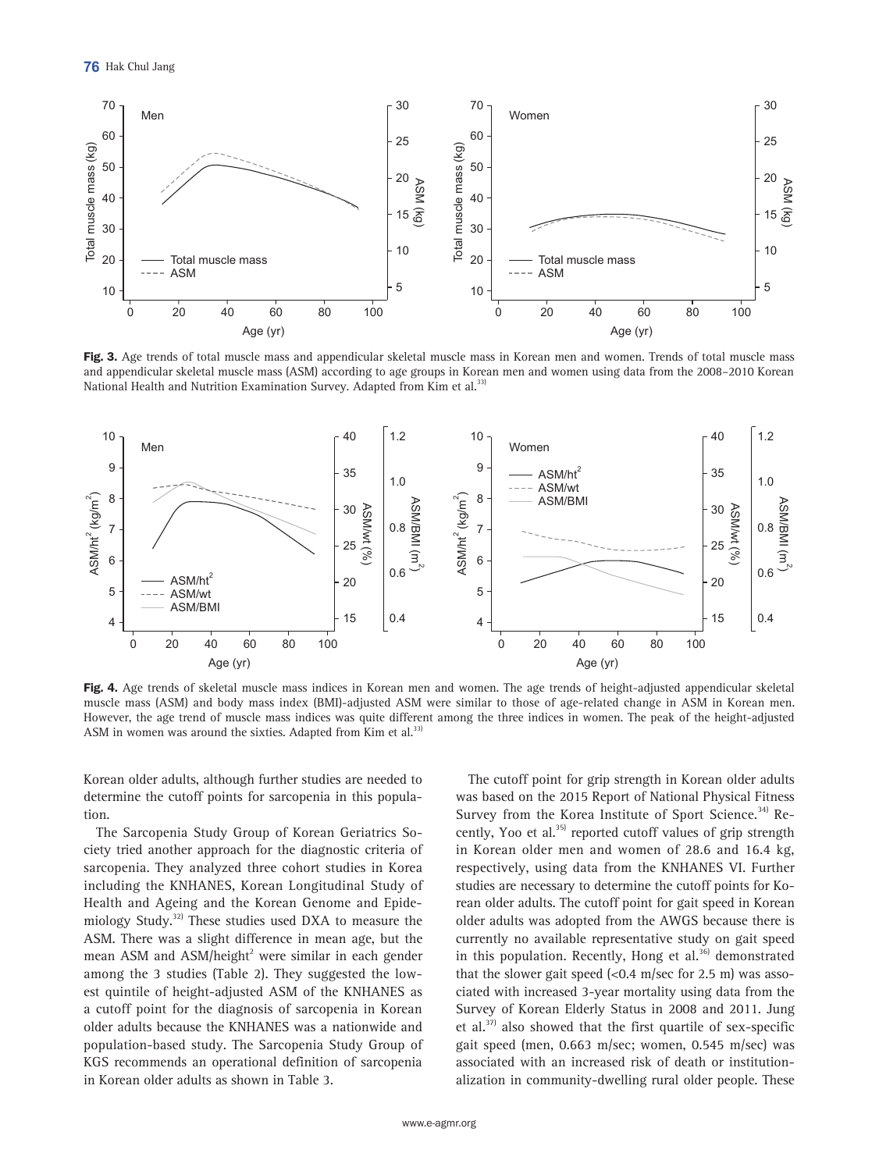

Fig. 3. Age trends of total muscle mass and appendicular skeletal muscle mass in Korean men and women. Trends of total muscle mass and appendicular skeletal muscle mass (ASM) according to age groups in Korean men and women using data from the 2008–2010 Korean National Health and Nutrition Examination Survey. Adapted from Kim et al.<sup>33)</sup>



Fig. 4. Age trends of skeletal muscle mass indices in Korean men and women. The age trends of height-adjusted appendicular skeletal muscle mass (ASM) and body mass index (BMI)-adjusted ASM were similar to those of age-related change in ASM in Korean men. However, the age trend of muscle mass indices was quite different among the three indices in women. The peak of the height-adjusted ASM in women was around the sixties. Adapted from Kim et al.<sup>331</sup>

Korean older adults, although further studies are needed to determine the cutoff points for sarcopenia in this population.

The Sarcopenia Study Group of Korean Geriatrics Society tried another approach for the diagnostic criteria of sarcopenia. They analyzed three cohort studies in Korea including the KNHANES, Korean Longitudinal Study of Health and Ageing and the Korean Genome and Epidemiology Study.<sup>32)</sup> These studies used DXA to measure the ASM. There was a slight difference in mean age, but the mean ASM and ASM/height $^2$  were similar in each gender among the 3 studies (Table 2). They suggested the lowest quintile of height-adjusted ASM of the KNHANES as a cutoff point for the diagnosis of sarcopenia in Korean older adults because the KNHANES was a nationwide and population-based study. The Sarcopenia Study Group of KGS recommends an operational definition of sarcopenia in Korean older adults as shown in Table 3.

The cutoff point for grip strength in Korean older adults was based on the 2015 Report of National Physical Fitness Survey from the Korea Institute of Sport Science.<sup>34)</sup> Recently, Yoo et al. $35$  reported cutoff values of grip strength in Korean older men and women of 28.6 and 16.4 kg, respectively, using data from the KNHANES VI. Further studies are necessary to determine the cutoff points for Korean older adults. The cutoff point for gait speed in Korean older adults was adopted from the AWGS because there is currently no available representative study on gait speed in this population. Recently, Hong et al.<sup>36)</sup> demonstrated that the slower gait speed  $\left($ <0.4 m/sec for 2.5 m) was associated with increased 3-year mortality using data from the Survey of Korean Elderly Status in 2008 and 2011. Jung et al.<sup>37)</sup> also showed that the first quartile of sex-specific gait speed (men, 0.663 m/sec; women, 0.545 m/sec) was associated with an increased risk of death or institutionalization in community-dwelling rural older people. These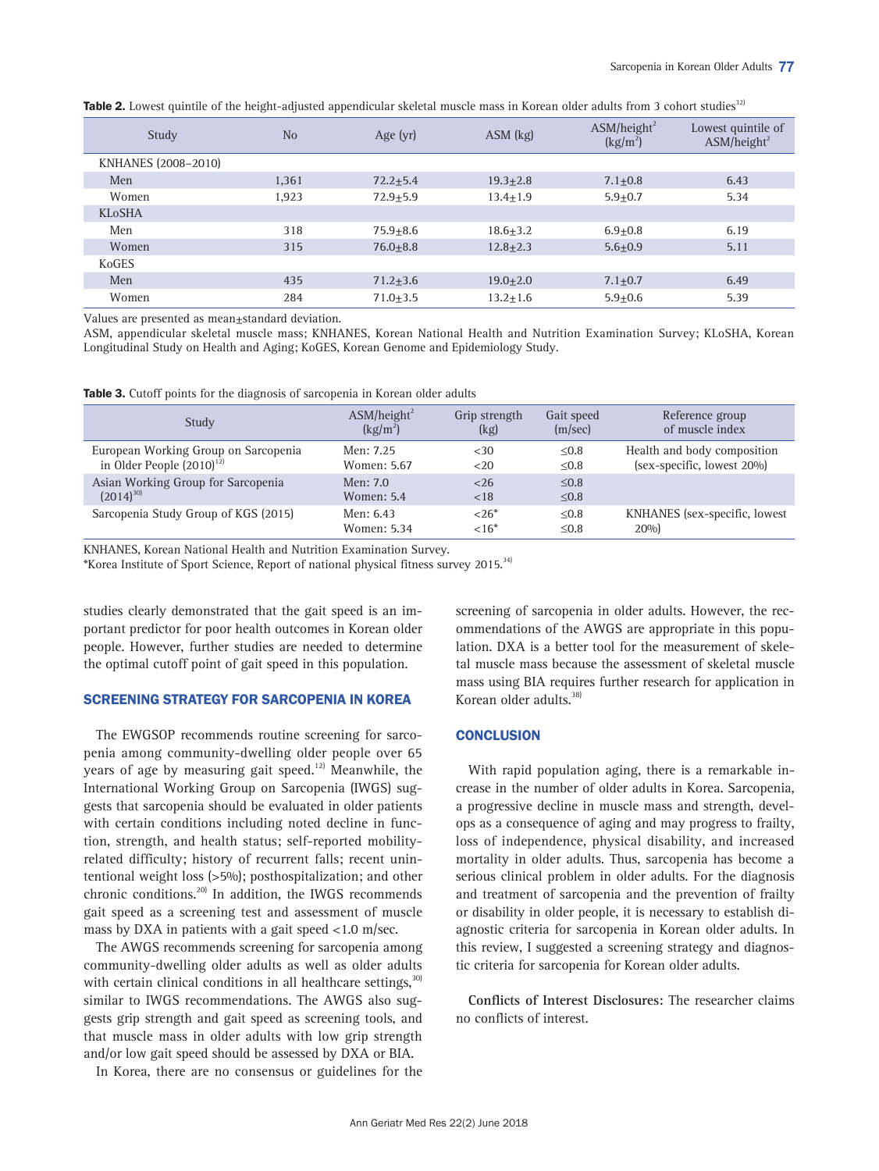| Study               | N <sub>o</sub> | Age $(yr)$   | $ASM$ (kg)   | ASM/height <sup>2</sup><br>(kg/m <sup>2</sup> ) | Lowest quintile of<br>ASM/height <sup>2</sup> |
|---------------------|----------------|--------------|--------------|-------------------------------------------------|-----------------------------------------------|
| KNHANES (2008-2010) |                |              |              |                                                 |                                               |
| Men                 | 1,361          | $72.2 + 5.4$ | $19.3 + 2.8$ | $7.1 + 0.8$                                     | 6.43                                          |
| Women               | 1,923          | $72.9 + 5.9$ | $13.4 + 1.9$ | $5.9 + 0.7$                                     | 5.34                                          |
| <b>KLoSHA</b>       |                |              |              |                                                 |                                               |
| Men                 | 318            | $75.9 + 8.6$ | $18.6 + 3.2$ | $6.9 + 0.8$                                     | 6.19                                          |
| Women               | 315            | $76.0 + 8.8$ | $12.8 + 2.3$ | $5.6 + 0.9$                                     | 5.11                                          |
| KoGES               |                |              |              |                                                 |                                               |
| Men                 | 435            | $71.2 + 3.6$ | $19.0 + 2.0$ | $7.1 + 0.7$                                     | 6.49                                          |
| Women               | 284            | $71.0 + 3.5$ | $13.2 + 1.6$ | $5.9 + 0.6$                                     | 5.39                                          |

Table 2. Lowest quintile of the height-adjusted appendicular skeletal muscle mass in Korean older adults from 3 cohort studies<sup>32)</sup>

Values are presented as mean±standard deviation.

ASM, appendicular skeletal muscle mass; KNHANES, Korean National Health and Nutrition Examination Survey; KLoSHA, Korean Longitudinal Study on Health and Aging; KoGES, Korean Genome and Epidemiology Study.

|  |  | <b>Table 3.</b> Cutoff points for the diagnosis of sarcopenia in Korean older adults |  |
|--|--|--------------------------------------------------------------------------------------|--|
|--|--|--------------------------------------------------------------------------------------|--|

| Study                                | $\text{ASM/height}^2$ | Grip strength | Gait speed | Reference group               |
|--------------------------------------|-----------------------|---------------|------------|-------------------------------|
|                                      | $(kg/m^2)$            | (kg)          | (m/sec)    | of muscle index               |
| European Working Group on Sarcopenia | Men: 7.25             | <30           | $\leq 0.8$ | Health and body composition   |
| in Older People $(2010)^{12}$        | Women: 5.67           | <20           | < 0.8      | (sex-specific, lowest 20%)    |
| Asian Working Group for Sarcopenia   | Men: 7.0              | < 26          | < 0.8      |                               |
| $(2014)^{30}$                        | Women: 5.4            | < 18          | $\leq 0.8$ |                               |
| Sarcopenia Study Group of KGS (2015) | Men: 6.43             | $26*$         | $\leq 0.8$ | KNHANES (sex-specific, lowest |
|                                      | Women: 5.34           | ${<}16*$      | < 0.8      | 20%                           |

KNHANES, Korean National Health and Nutrition Examination Survey.

\*Korea Institute of Sport Science, Report of national physical fitness survey 2015.34)

studies clearly demonstrated that the gait speed is an important predictor for poor health outcomes in Korean older people. However, further studies are needed to determine the optimal cutoff point of gait speed in this population.

### SCREENING STRATEGY FOR SARCOPENIA IN KOREA

The EWGSOP recommends routine screening for sarcopenia among community-dwelling older people over 65 years of age by measuring gait speed. $12$  Meanwhile, the International Working Group on Sarcopenia (IWGS) suggests that sarcopenia should be evaluated in older patients with certain conditions including noted decline in function, strength, and health status; self-reported mobilityrelated difficulty; history of recurrent falls; recent unintentional weight loss (>5%); posthospitalization; and other chronic conditions.<sup>20)</sup> In addition, the IWGS recommends gait speed as a screening test and assessment of muscle mass by DXA in patients with a gait speed <1.0 m/sec.

The AWGS recommends screening for sarcopenia among community-dwelling older adults as well as older adults with certain clinical conditions in all healthcare settings, $30$ similar to IWGS recommendations. The AWGS also suggests grip strength and gait speed as screening tools, and that muscle mass in older adults with low grip strength and/or low gait speed should be assessed by DXA or BIA.

In Korea, there are no consensus or guidelines for the

screening of sarcopenia in older adults. However, the recommendations of the AWGS are appropriate in this population. DXA is a better tool for the measurement of skeletal muscle mass because the assessment of skeletal muscle mass using BIA requires further research for application in Korean older adults.<sup>38)</sup>

# **CONCLUSION**

With rapid population aging, there is a remarkable increase in the number of older adults in Korea. Sarcopenia, a progressive decline in muscle mass and strength, develops as a consequence of aging and may progress to frailty, loss of independence, physical disability, and increased mortality in older adults. Thus, sarcopenia has become a serious clinical problem in older adults. For the diagnosis and treatment of sarcopenia and the prevention of frailty or disability in older people, it is necessary to establish diagnostic criteria for sarcopenia in Korean older adults. In this review, I suggested a screening strategy and diagnostic criteria for sarcopenia for Korean older adults.

Conflicts of Interest Disclosures: The researcher claims no conflicts of interest.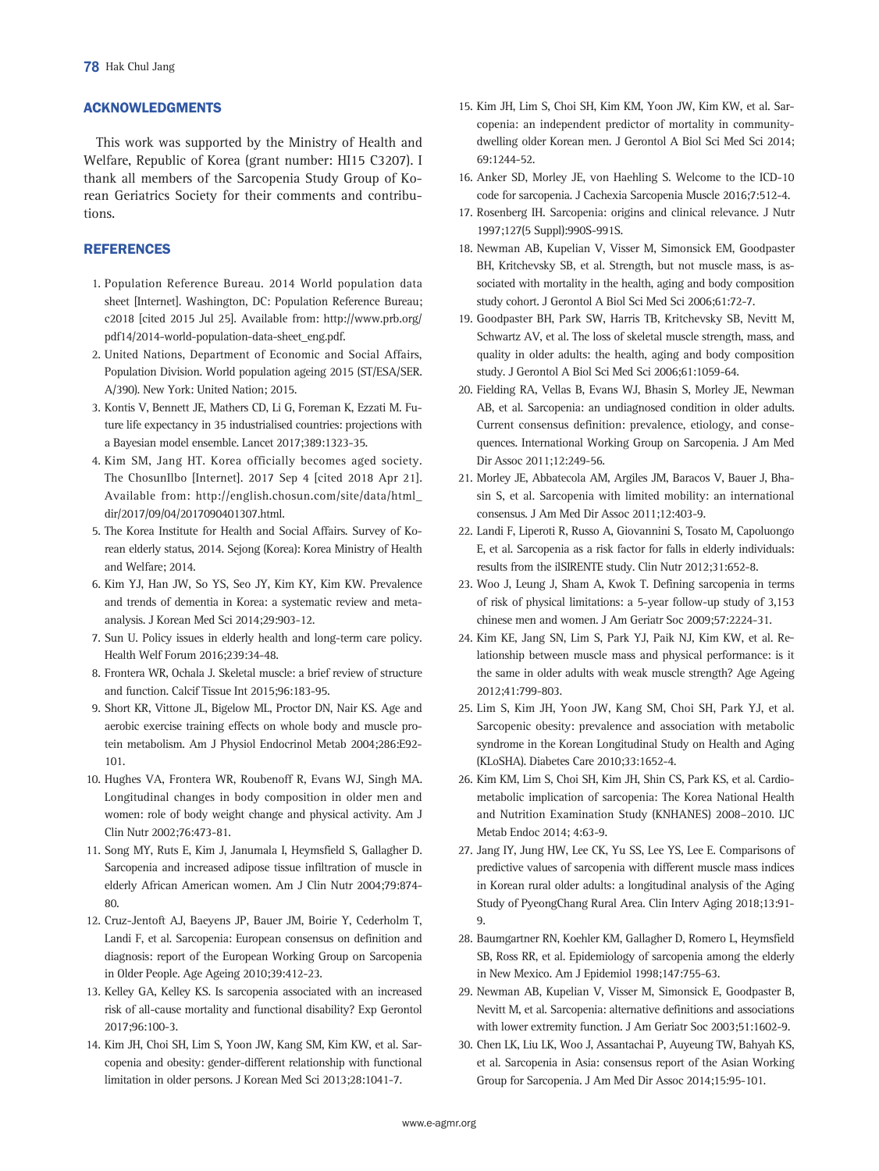# ACKNOWLEDGMENTS

This work was supported by the Ministry of Health and Welfare, Republic of Korea (grant number: HI15 C3207). I thank all members of the Sarcopenia Study Group of Korean Geriatrics Society for their comments and contributions.

## **REFERENCES**

- 1. Population Reference Bureau. 2014 World population data sheet [Internet]. Washington, DC: Population Reference Bureau; c2018 [cited 2015 Jul 25]. Available from: [http://www.prb.org/](http://www.prb.org/pdf14/2014-world-population-data-sheet_eng.pdf) [pdf14/2014-world-population-data-sheet\\_eng.pdf](http://www.prb.org/pdf14/2014-world-population-data-sheet_eng.pdf).
- 2. United Nations, Department of Economic and Social Affairs, Population Division. World population ageing 2015 (ST/ESA/SER. A/390). New York: United Nation; 2015.
- 3. Kontis V, Bennett JE, Mathers CD, Li G, Foreman K, Ezzati M. Future life expectancy in 35 industrialised countries: projections with a Bayesian model ensemble. Lancet 2017;389:1323-35.
- 4. Kim SM, Jang HT. Korea officially becomes aged society. The ChosunIlbo [Internet]. 2017 Sep 4 [cited 2018 Apr 21]. Available from: [http://english.chosun.com/site/data/html\\_](http://english.chosun.com/site/data/html_dir/2017/09/04/2017090401307.html) [dir/2017/09/04/2017090401307.html](http://english.chosun.com/site/data/html_dir/2017/09/04/2017090401307.html).
- 5. The Korea Institute for Health and Social Affairs. Survey of Korean elderly status, 2014. Sejong (Korea): Korea Ministry of Health and Welfare; 2014.
- 6. Kim YJ, Han JW, So YS, Seo JY, Kim KY, Kim KW. Prevalence and trends of dementia in Korea: a systematic review and metaanalysis. J Korean Med Sci 2014;29:903-12.
- 7. Sun U. Policy issues in elderly health and long-term care policy. Health Welf Forum 2016;239:34-48.
- 8. Frontera WR, Ochala J. Skeletal muscle: a brief review of structure and function. Calcif Tissue Int 2015;96:183-95.
- 9. Short KR, Vittone JL, Bigelow ML, Proctor DN, Nair KS. Age and aerobic exercise training effects on whole body and muscle protein metabolism. Am J Physiol Endocrinol Metab 2004;286:E92- 101.
- 10. Hughes VA, Frontera WR, Roubenoff R, Evans WJ, Singh MA. Longitudinal changes in body composition in older men and women: role of body weight change and physical activity. Am J Clin Nutr 2002;76:473-81.
- 11. Song MY, Ruts E, Kim J, Janumala I, Heymsfield S, Gallagher D. Sarcopenia and increased adipose tissue infiltration of muscle in elderly African American women. Am J Clin Nutr 2004;79:874- 80.
- 12. Cruz-Jentoft AJ, Baeyens JP, Bauer JM, Boirie Y, Cederholm T, Landi F, et al. Sarcopenia: European consensus on definition and diagnosis: report of the European Working Group on Sarcopenia in Older People. Age Ageing 2010;39:412-23.
- 13. Kelley GA, Kelley KS. Is sarcopenia associated with an increased risk of all-cause mortality and functional disability? Exp Gerontol 2017;96:100-3.
- 14. Kim JH, Choi SH, Lim S, Yoon JW, Kang SM, Kim KW, et al. Sarcopenia and obesity: gender-different relationship with functional limitation in older persons. J Korean Med Sci 2013;28:1041-7.
- 15. Kim JH, Lim S, Choi SH, Kim KM, Yoon JW, Kim KW, et al. Sarcopenia: an independent predictor of mortality in communitydwelling older Korean men. J Gerontol A Biol Sci Med Sci 2014; 69:1244-52.
- 16. Anker SD, Morley JE, von Haehling S. Welcome to the ICD-10 code for sarcopenia. J Cachexia Sarcopenia Muscle 2016;7:512-4.
- 17. Rosenberg IH. Sarcopenia: origins and clinical relevance. J Nutr 1997;127(5 Suppl):990S-991S.
- 18. Newman AB, Kupelian V, Visser M, Simonsick EM, Goodpaster BH, Kritchevsky SB, et al. Strength, but not muscle mass, is associated with mortality in the health, aging and body composition study cohort. J Gerontol A Biol Sci Med Sci 2006;61:72-7.
- 19. Goodpaster BH, Park SW, Harris TB, Kritchevsky SB, Nevitt M, Schwartz AV, et al. The loss of skeletal muscle strength, mass, and quality in older adults: the health, aging and body composition study. J Gerontol A Biol Sci Med Sci 2006;61:1059-64.
- 20. Fielding RA, Vellas B, Evans WJ, Bhasin S, Morley JE, Newman AB, et al. Sarcopenia: an undiagnosed condition in older adults. Current consensus definition: prevalence, etiology, and consequences. International Working Group on Sarcopenia. J Am Med Dir Assoc 2011;12:249-56.
- 21. Morley JE, Abbatecola AM, Argiles JM, Baracos V, Bauer J, Bhasin S, et al. Sarcopenia with limited mobility: an international consensus. J Am Med Dir Assoc 2011;12:403-9.
- 22. Landi F, Liperoti R, Russo A, Giovannini S, Tosato M, Capoluongo E, et al. Sarcopenia as a risk factor for falls in elderly individuals: results from the ilSIRENTE study. Clin Nutr 2012;31:652-8.
- 23. Woo J, Leung J, Sham A, Kwok T. Defining sarcopenia in terms of risk of physical limitations: a 5-year follow-up study of 3,153 chinese men and women. J Am Geriatr Soc 2009;57:2224-31.
- 24. Kim KE, Jang SN, Lim S, Park YJ, Paik NJ, Kim KW, et al. Relationship between muscle mass and physical performance: is it the same in older adults with weak muscle strength? Age Ageing 2012;41:799-803.
- 25. Lim S, Kim JH, Yoon JW, Kang SM, Choi SH, Park YJ, et al. Sarcopenic obesity: prevalence and association with metabolic syndrome in the Korean Longitudinal Study on Health and Aging (KLoSHA). Diabetes Care 2010;33:1652-4.
- 26. Kim KM, Lim S, Choi SH, Kim JH, Shin CS, Park KS, et al. Cardiometabolic implication of sarcopenia: The Korea National Health and Nutrition Examination Study (KNHANES) 2008–2010. IJC Metab Endoc 2014; 4:63-9.
- 27. Jang IY, Jung HW, Lee CK, Yu SS, Lee YS, Lee E. Comparisons of predictive values of sarcopenia with different muscle mass indices in Korean rural older adults: a longitudinal analysis of the Aging Study of PyeongChang Rural Area. Clin Interv Aging 2018;13:91- 9.
- 28. Baumgartner RN, Koehler KM, Gallagher D, Romero L, Heymsfield SB, Ross RR, et al. Epidemiology of sarcopenia among the elderly in New Mexico. Am J Epidemiol 1998;147:755-63.
- 29. Newman AB, Kupelian V, Visser M, Simonsick E, Goodpaster B, Nevitt M, et al. Sarcopenia: alternative definitions and associations with lower extremity function. J Am Geriatr Soc 2003;51:1602-9.
- 30. Chen LK, Liu LK, Woo J, Assantachai P, Auyeung TW, Bahyah KS, et al. Sarcopenia in Asia: consensus report of the Asian Working Group for Sarcopenia. J Am Med Dir Assoc 2014;15:95-101.